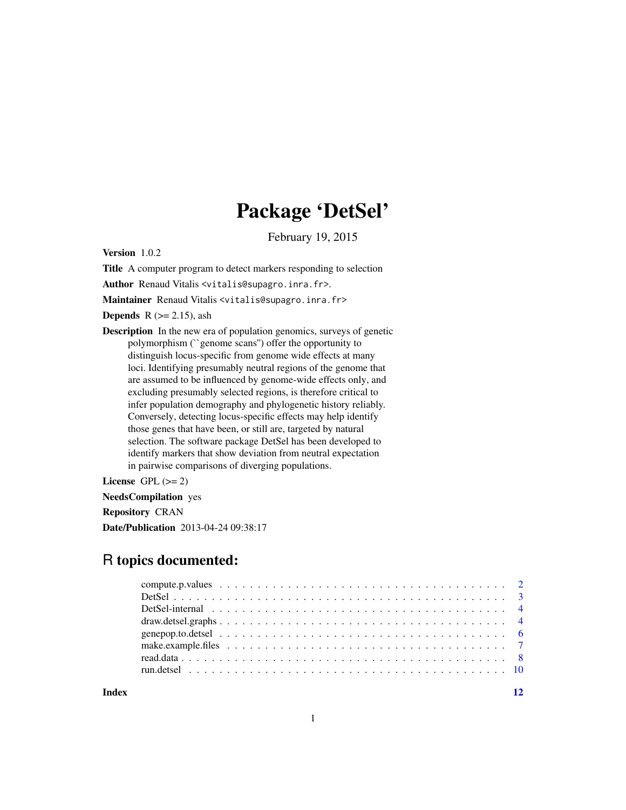## Package 'DetSel'

February 19, 2015

Version 1.0.2

Title A computer program to detect markers responding to selection

Author Renaud Vitalis <vitalis@supagro.inra.fr>.

Maintainer Renaud Vitalis <vitalis@supagro.inra.fr>

**Depends** R  $(>= 2.15)$ , ash

Description In the new era of population genomics, surveys of genetic polymorphism (``genome scans'') offer the opportunity to distinguish locus-specific from genome wide effects at many loci. Identifying presumably neutral regions of the genome that are assumed to be influenced by genome-wide effects only, and excluding presumably selected regions, is therefore critical to infer population demography and phylogenetic history reliably. Conversely, detecting locus-specific effects may help identify those genes that have been, or still are, targeted by natural selection. The software package DetSel has been developed to identify markers that show deviation from neutral expectation in pairwise comparisons of diverging populations.

License GPL  $(>= 2)$ 

NeedsCompilation yes Repository CRAN

Date/Publication 2013-04-24 09:38:17

## R topics documented:

**Index** [12](#page-11-0)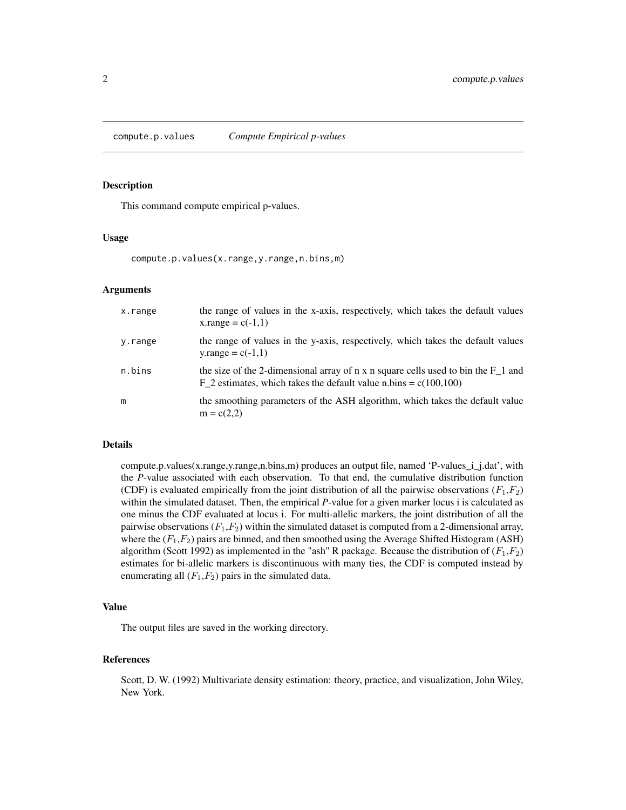<span id="page-1-1"></span><span id="page-1-0"></span>compute.p.values *Compute Empirical p-values*

#### Description

This command compute empirical p-values.

#### Usage

```
compute.p.values(x.range,y.range,n.bins,m)
```
#### Arguments

| x.range | the range of values in the x-axis, respectively, which takes the default values<br>x.range = $c(-1,1)$                                                    |
|---------|-----------------------------------------------------------------------------------------------------------------------------------------------------------|
| y.range | the range of values in the y-axis, respectively, which takes the default values<br>y.range = $c(-1,1)$                                                    |
| n.bins  | the size of the 2-dimensional array of n x n square cells used to bin the $F_1$ and<br>F 2 estimates, which takes the default value n.bins = $c(100,100)$ |
| m       | the smoothing parameters of the ASH algorithm, which takes the default value<br>$m = c(2,2)$                                                              |

#### Details

compute.p.values(x.range,y.range,n.bins,m) produces an output file, named 'P-values\_i\_j.dat', with the *P*-value associated with each observation. To that end, the cumulative distribution function (CDF) is evaluated empirically from the joint distribution of all the pairwise observations  $(F_1,F_2)$ within the simulated dataset. Then, the empirical *P*-value for a given marker locus i is calculated as one minus the CDF evaluated at locus i. For multi-allelic markers, the joint distribution of all the pairwise observations  $(F_1,F_2)$  within the simulated dataset is computed from a 2-dimensional array, where the  $(F_1, F_2)$  pairs are binned, and then smoothed using the Average Shifted Histogram (ASH) algorithm (Scott 1992) as implemented in the "ash" R package. Because the distribution of  $(F_1,F_2)$ estimates for bi-allelic markers is discontinuous with many ties, the CDF is computed instead by enumerating all  $(F_1,F_2)$  pairs in the simulated data.

#### Value

The output files are saved in the working directory.

#### References

Scott, D. W. (1992) Multivariate density estimation: theory, practice, and visualization, John Wiley, New York.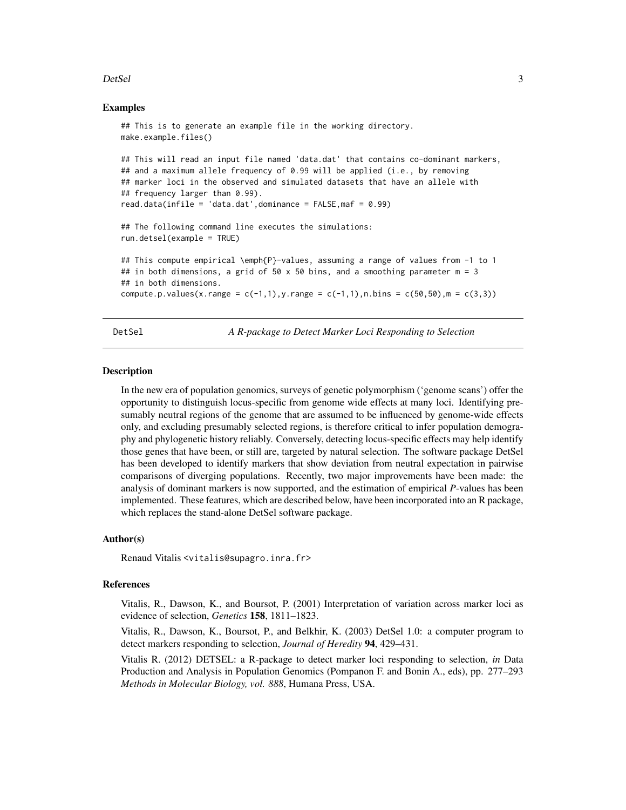#### <span id="page-2-0"></span> $DetSel$  3

#### Examples

```
## This is to generate an example file in the working directory.
make.example.files()
## This will read an input file named 'data.dat' that contains co-dominant markers,
## and a maximum allele frequency of 0.99 will be applied (i.e., by removing
## marker loci in the observed and simulated datasets that have an allele with
## frequency larger than 0.99).
read.data(infile = 'data.dat',dominance = FALSE,maf = 0.99)
## The following command line executes the simulations:
run.detsel(example = TRUE)
## This compute empirical \emph{P}-values, assuming a range of values from -1 to 1
## in both dimensions, a grid of 50 \times 50 bins, and a smoothing parameter m = 3
## in both dimensions.
compute.p.values(x.range = c(-1,1), y.range = c(-1,1), n.bins = c(50,50), m = c(3,3))
```
DetSel *A R-package to Detect Marker Loci Responding to Selection*

#### Description

In the new era of population genomics, surveys of genetic polymorphism ('genome scans') offer the opportunity to distinguish locus-specific from genome wide effects at many loci. Identifying presumably neutral regions of the genome that are assumed to be influenced by genome-wide effects only, and excluding presumably selected regions, is therefore critical to infer population demography and phylogenetic history reliably. Conversely, detecting locus-specific effects may help identify those genes that have been, or still are, targeted by natural selection. The software package DetSel has been developed to identify markers that show deviation from neutral expectation in pairwise comparisons of diverging populations. Recently, two major improvements have been made: the analysis of dominant markers is now supported, and the estimation of empirical *P*-values has been implemented. These features, which are described below, have been incorporated into an R package, which replaces the stand-alone DetSel software package.

#### Author(s)

Renaud Vitalis <vitalis@supagro.inra.fr>

#### References

Vitalis, R., Dawson, K., and Boursot, P. (2001) Interpretation of variation across marker loci as evidence of selection, *Genetics* 158, 1811–1823.

Vitalis, R., Dawson, K., Boursot, P., and Belkhir, K. (2003) DetSel 1.0: a computer program to detect markers responding to selection, *Journal of Heredity* 94, 429–431.

Vitalis R. (2012) DETSEL: a R-package to detect marker loci responding to selection, *in* Data Production and Analysis in Population Genomics (Pompanon F. and Bonin A., eds), pp. 277–293 *Methods in Molecular Biology, vol. 888*, Humana Press, USA.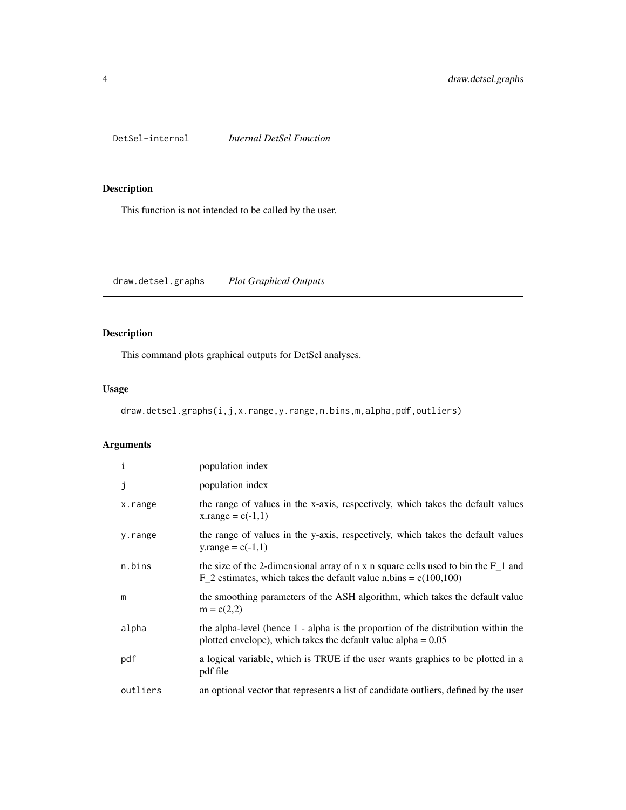<span id="page-3-0"></span>

## Description

This function is not intended to be called by the user.

<span id="page-3-1"></span>draw.detsel.graphs *Plot Graphical Outputs*

## Description

This command plots graphical outputs for DetSel analyses.

## Usage

```
draw.detsel.graphs(i,j,x.range,y.range,n.bins,m,alpha,pdf,outliers)
```
## Arguments

| $\,$ i   | population index                                                                                                                                          |
|----------|-----------------------------------------------------------------------------------------------------------------------------------------------------------|
| j        | population index                                                                                                                                          |
| x.range  | the range of values in the x-axis, respectively, which takes the default values<br>x.range = $c(-1,1)$                                                    |
| y.range  | the range of values in the y-axis, respectively, which takes the default values<br>y.range = $c(-1,1)$                                                    |
| n.bins   | the size of the 2-dimensional array of n x n square cells used to bin the $F_1$ and<br>$F_2$ estimates, which takes the default value n.bins = c(100,100) |
| m        | the smoothing parameters of the ASH algorithm, which takes the default value<br>$m = c(2,2)$                                                              |
| alpha    | the alpha-level (hence 1 - alpha is the proportion of the distribution within the<br>plotted envelope), which takes the default value alpha $= 0.05$      |
| pdf      | a logical variable, which is TRUE if the user wants graphics to be plotted in a<br>pdf file                                                               |
| outliers | an optional vector that represents a list of candidate outliers, defined by the user                                                                      |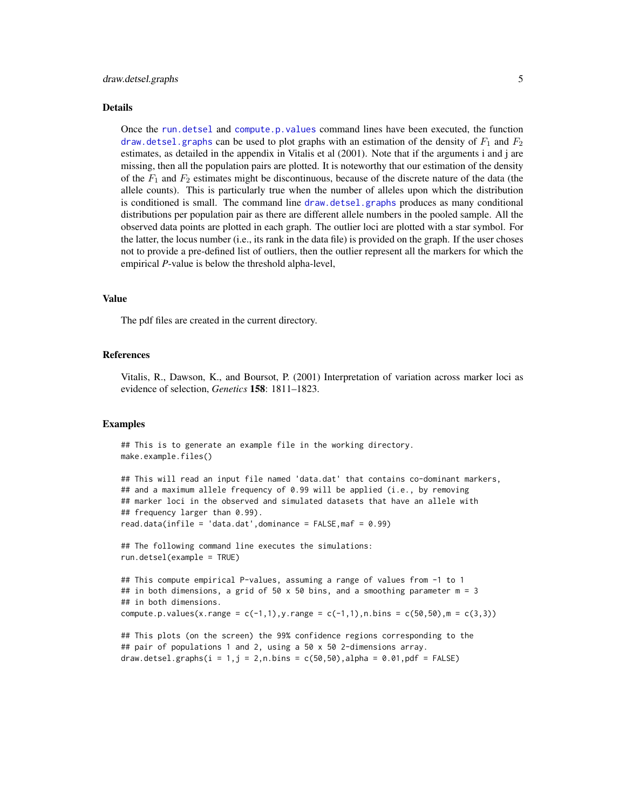#### <span id="page-4-0"></span>Details

Once the [run.detsel](#page-9-1) and [compute.p.values](#page-1-1) command lines have been executed, the function [draw.detsel.graphs](#page-3-1) can be used to plot graphs with an estimation of the density of  $F_1$  and  $F_2$ estimates, as detailed in the appendix in Vitalis et al (2001). Note that if the arguments i and j are missing, then all the population pairs are plotted. It is noteworthy that our estimation of the density of the  $F_1$  and  $F_2$  estimates might be discontinuous, because of the discrete nature of the data (the allele counts). This is particularly true when the number of alleles upon which the distribution is conditioned is small. The command line [draw.detsel.graphs](#page-3-1) produces as many conditional distributions per population pair as there are different allele numbers in the pooled sample. All the observed data points are plotted in each graph. The outlier loci are plotted with a star symbol. For the latter, the locus number (i.e., its rank in the data file) is provided on the graph. If the user choses not to provide a pre-defined list of outliers, then the outlier represent all the markers for which the empirical *P*-value is below the threshold alpha-level,

#### Value

The pdf files are created in the current directory.

#### References

Vitalis, R., Dawson, K., and Boursot, P. (2001) Interpretation of variation across marker loci as evidence of selection, *Genetics* 158: 1811–1823.

#### Examples

## This is to generate an example file in the working directory. make.example.files()

```
## This will read an input file named 'data.dat' that contains co-dominant markers,
## and a maximum allele frequency of 0.99 will be applied (i.e., by removing
## marker loci in the observed and simulated datasets that have an allele with
## frequency larger than 0.99).
read.data(infile = 'data.dat',dominance = FALSE,maf = 0.99)
```

```
## The following command line executes the simulations:
run.detsel(example = TRUE)
```

```
## This compute empirical P-values, assuming a range of values from -1 to 1
## in both dimensions, a grid of 50 \times 50 bins, and a smoothing parameter m = 3## in both dimensions.
compute.p.values(x.range = c(-1,1), y.range = c(-1,1), n.bins = c(50,50), m = c(3,3))
```

```
## This plots (on the screen) the 99% confidence regions corresponding to the
## pair of populations 1 and 2, using a 50 x 50 2-dimensions array.
draw.detsel.graphs(i = 1, j = 2, n.bins = c(50,50),alpha = 0.01,pdf = FALSE)
```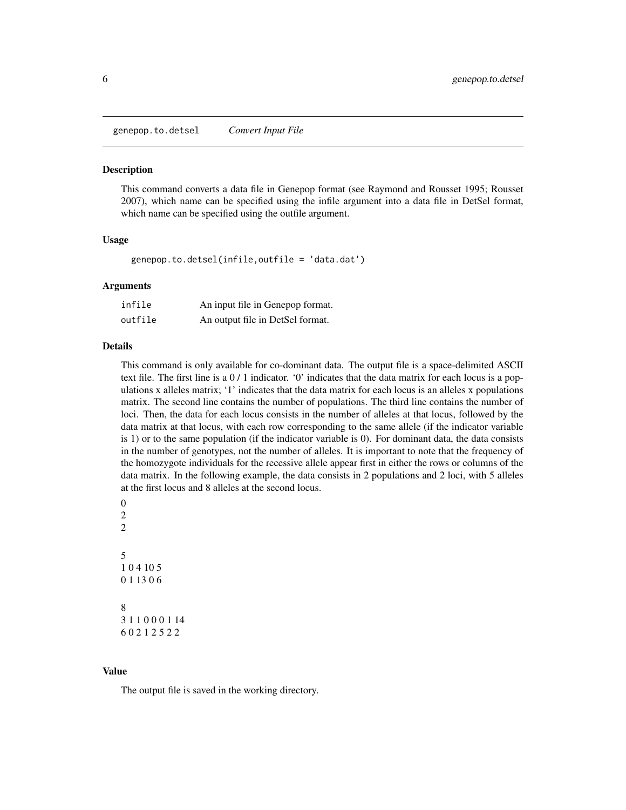<span id="page-5-0"></span>genepop.to.detsel *Convert Input File*

#### **Description**

This command converts a data file in Genepop format (see Raymond and Rousset 1995; Rousset 2007), which name can be specified using the infile argument into a data file in DetSel format, which name can be specified using the outfile argument.

#### Usage

```
genepop.to.detsel(infile,outfile = 'data.dat')
```
#### Arguments

| infile  | An input file in Genepop format. |
|---------|----------------------------------|
| outfile | An output file in DetSel format. |

#### Details

This command is only available for co-dominant data. The output file is a space-delimited ASCII text file. The first line is a 0 / 1 indicator. '0' indicates that the data matrix for each locus is a populations x alleles matrix; '1' indicates that the data matrix for each locus is an alleles x populations matrix. The second line contains the number of populations. The third line contains the number of loci. Then, the data for each locus consists in the number of alleles at that locus, followed by the data matrix at that locus, with each row corresponding to the same allele (if the indicator variable is 1) or to the same population (if the indicator variable is 0). For dominant data, the data consists in the number of genotypes, not the number of alleles. It is important to note that the frequency of the homozygote individuals for the recessive allele appear first in either the rows or columns of the data matrix. In the following example, the data consists in 2 populations and 2 loci, with 5 alleles at the first locus and 8 alleles at the second locus.

```
\overline{0}2
\mathfrak{D}5
1 0 4 10 5
0 1 13 0 6
8
3 1 1 0 0 0 1 14
6 0 2 1 2 5 2 2
```
#### Value

The output file is saved in the working directory.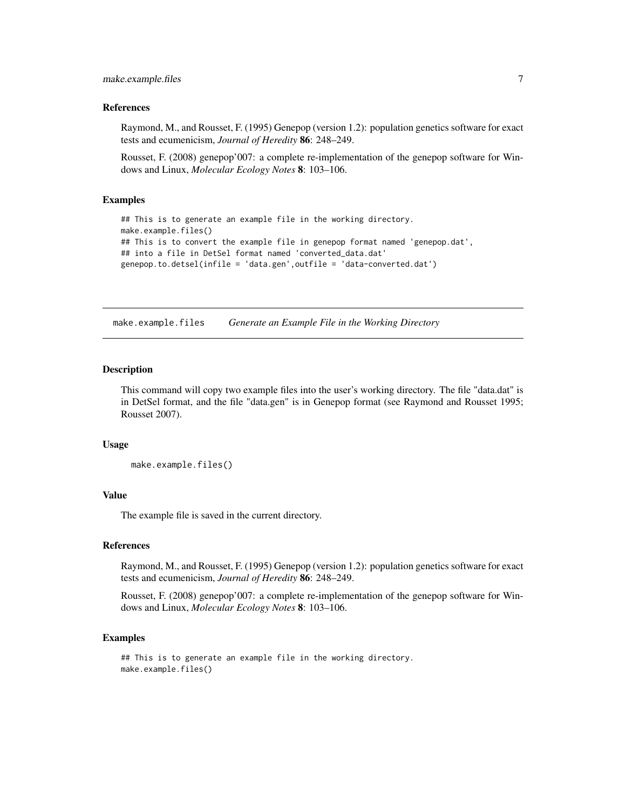#### <span id="page-6-0"></span>make.example.files 7

#### References

Raymond, M., and Rousset, F. (1995) Genepop (version 1.2): population genetics software for exact tests and ecumenicism, *Journal of Heredity* 86: 248–249.

Rousset, F. (2008) genepop'007: a complete re-implementation of the genepop software for Windows and Linux, *Molecular Ecology Notes* 8: 103–106.

#### Examples

```
## This is to generate an example file in the working directory.
make.example.files()
## This is to convert the example file in genepop format named 'genepop.dat',
## into a file in DetSel format named 'converted_data.dat'
genepop.to.detsel(infile = 'data.gen',outfile = 'data-converted.dat')
```
make.example.files *Generate an Example File in the Working Directory*

#### Description

This command will copy two example files into the user's working directory. The file "data.dat" is in DetSel format, and the file "data.gen" is in Genepop format (see Raymond and Rousset 1995; Rousset 2007).

#### Usage

```
make.example.files()
```
### Value

The example file is saved in the current directory.

#### References

Raymond, M., and Rousset, F. (1995) Genepop (version 1.2): population genetics software for exact tests and ecumenicism, *Journal of Heredity* 86: 248–249.

Rousset, F. (2008) genepop'007: a complete re-implementation of the genepop software for Windows and Linux, *Molecular Ecology Notes* 8: 103–106.

#### Examples

## This is to generate an example file in the working directory. make.example.files()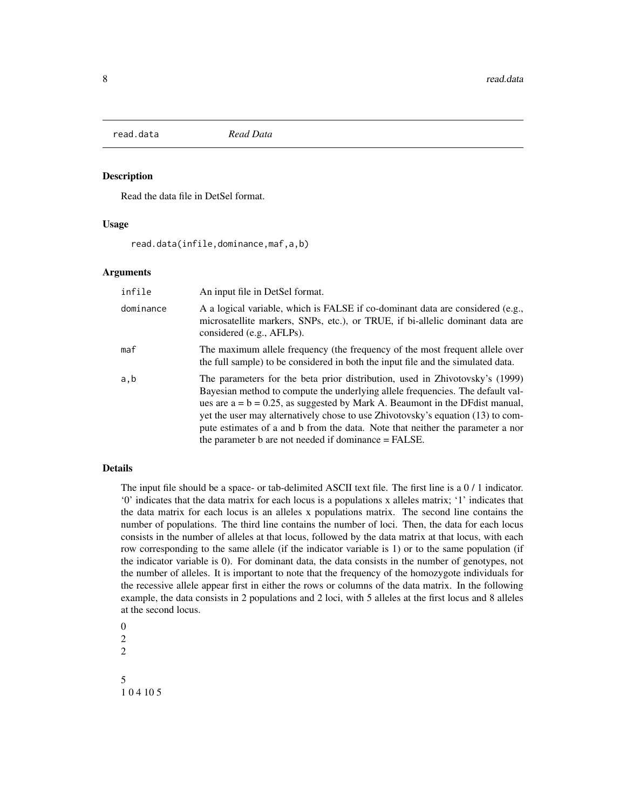<span id="page-7-1"></span><span id="page-7-0"></span>

#### Description

Read the data file in DetSel format.

#### Usage

read.data(infile,dominance,maf,a,b)

#### Arguments

| infile    | An input file in DetSel format.                                                                                                                                                                                                                                                                                                                                                                                                                                                 |
|-----------|---------------------------------------------------------------------------------------------------------------------------------------------------------------------------------------------------------------------------------------------------------------------------------------------------------------------------------------------------------------------------------------------------------------------------------------------------------------------------------|
| dominance | A a logical variable, which is FALSE if co-dominant data are considered (e.g.,<br>microsatellite markers, SNPs, etc.), or TRUE, if bi-allelic dominant data are<br>considered (e.g., AFLPs).                                                                                                                                                                                                                                                                                    |
| maf       | The maximum allele frequency (the frequency of the most frequent allele over<br>the full sample) to be considered in both the input file and the simulated data.                                                                                                                                                                                                                                                                                                                |
| a,b       | The parameters for the beta prior distribution, used in Zhivotovsky's (1999)<br>Bayesian method to compute the underlying allele frequencies. The default val-<br>ues are $a = b = 0.25$ , as suggested by Mark A. Beaumont in the DF dist manual,<br>yet the user may alternatively chose to use Zhivotovsky's equation (13) to com-<br>pute estimates of a and b from the data. Note that neither the parameter a nor<br>the parameter b are not needed if dominance = FALSE. |

#### Details

The input file should be a space- or tab-delimited ASCII text file. The first line is a 0 / 1 indicator. '0' indicates that the data matrix for each locus is a populations x alleles matrix; '1' indicates that the data matrix for each locus is an alleles x populations matrix. The second line contains the number of populations. The third line contains the number of loci. Then, the data for each locus consists in the number of alleles at that locus, followed by the data matrix at that locus, with each row corresponding to the same allele (if the indicator variable is 1) or to the same population (if the indicator variable is 0). For dominant data, the data consists in the number of genotypes, not the number of alleles. It is important to note that the frequency of the homozygote individuals for the recessive allele appear first in either the rows or columns of the data matrix. In the following example, the data consists in 2 populations and 2 loci, with 5 alleles at the first locus and 8 alleles at the second locus.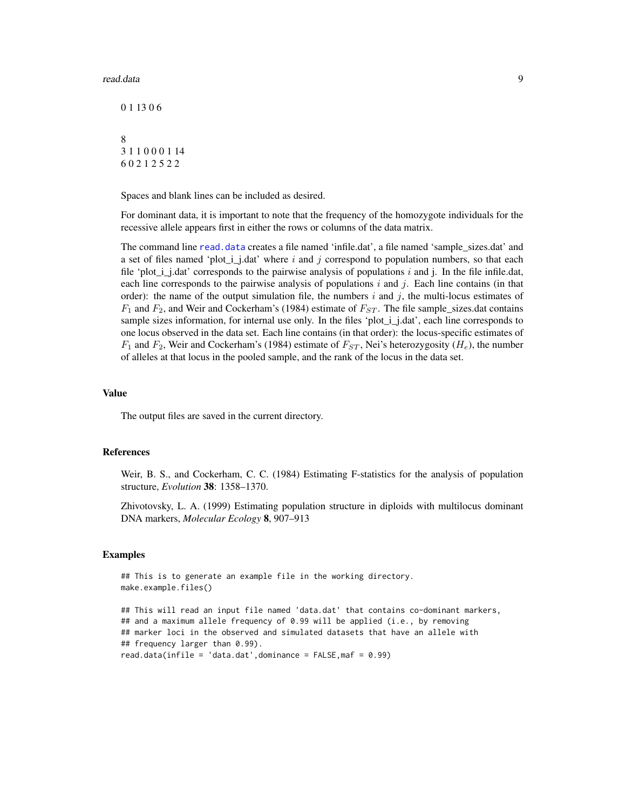#### <span id="page-8-0"></span>read.data 9

Spaces and blank lines can be included as desired.

For dominant data, it is important to note that the frequency of the homozygote individuals for the recessive allele appears first in either the rows or columns of the data matrix.

The command line [read.data](#page-7-1) creates a file named 'infile.dat', a file named 'sample\_sizes.dat' and a set of files named 'plot<sub>i</sub> j.dat' where i and j correspond to population numbers, so that each file 'plot\_i\_j.dat' corresponds to the pairwise analysis of populations i and j. In the file infile.dat, each line corresponds to the pairwise analysis of populations  $i$  and  $j$ . Each line contains (in that order): the name of the output simulation file, the numbers i and j, the multi-locus estimates of  $F_1$  and  $F_2$ , and Weir and Cockerham's (1984) estimate of  $F_{ST}$ . The file sample\_sizes.dat contains sample sizes information, for internal use only. In the files 'plot\_i\_j.dat', each line corresponds to one locus observed in the data set. Each line contains (in that order): the locus-specific estimates of  $F_1$  and  $F_2$ , Weir and Cockerham's (1984) estimate of  $F_{ST}$ , Nei's heterozygosity ( $H_e$ ), the number of alleles at that locus in the pooled sample, and the rank of the locus in the data set.

#### Value

The output files are saved in the current directory.

#### References

Weir, B. S., and Cockerham, C. C. (1984) Estimating F-statistics for the analysis of population structure, *Evolution* 38: 1358–1370.

Zhivotovsky, L. A. (1999) Estimating population structure in diploids with multilocus dominant DNA markers, *Molecular Ecology* 8, 907–913

#### Examples

```
## This is to generate an example file in the working directory.
make.example.files()
## This will read an input file named 'data.dat' that contains co-dominant markers,
## and a maximum allele frequency of 0.99 will be applied (i.e., by removing
## marker loci in the observed and simulated datasets that have an allele with
## frequency larger than 0.99).
read.data(infile = 'data.dat',dominance = FALSE, \text{maf} = 0.99)
```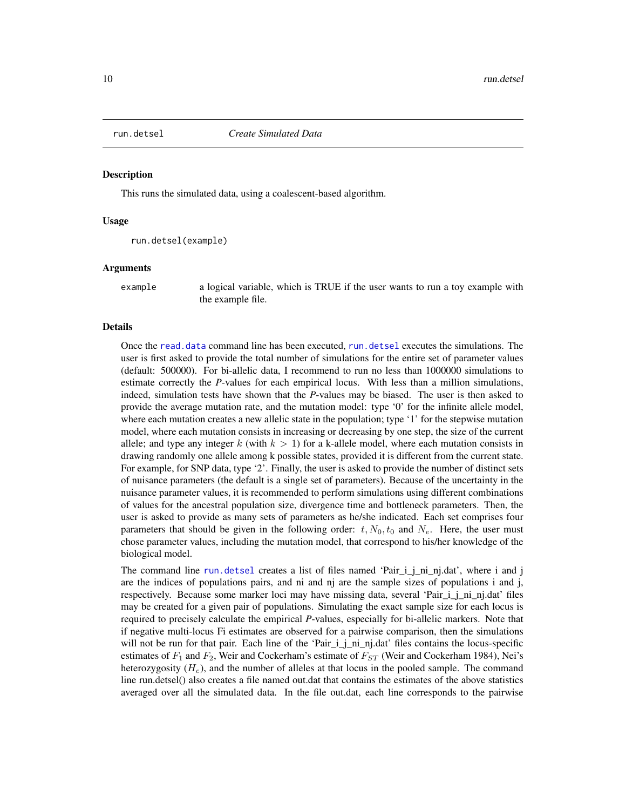<span id="page-9-1"></span><span id="page-9-0"></span>

#### Description

This runs the simulated data, using a coalescent-based algorithm.

#### Usage

```
run.detsel(example)
```
#### Arguments

example a logical variable, which is TRUE if the user wants to run a toy example with the example file.

#### Details

Once the [read.data](#page-7-1) command line has been executed, [run.detsel](#page-9-1) executes the simulations. The user is first asked to provide the total number of simulations for the entire set of parameter values (default: 500000). For bi-allelic data, I recommend to run no less than 1000000 simulations to estimate correctly the *P*-values for each empirical locus. With less than a million simulations, indeed, simulation tests have shown that the *P*-values may be biased. The user is then asked to provide the average mutation rate, and the mutation model: type '0' for the infinite allele model, where each mutation creates a new allelic state in the population; type '1' for the stepwise mutation model, where each mutation consists in increasing or decreasing by one step, the size of the current allele; and type any integer k (with  $k > 1$ ) for a k-allele model, where each mutation consists in drawing randomly one allele among k possible states, provided it is different from the current state. For example, for SNP data, type '2'. Finally, the user is asked to provide the number of distinct sets of nuisance parameters (the default is a single set of parameters). Because of the uncertainty in the nuisance parameter values, it is recommended to perform simulations using different combinations of values for the ancestral population size, divergence time and bottleneck parameters. Then, the user is asked to provide as many sets of parameters as he/she indicated. Each set comprises four parameters that should be given in the following order:  $t$ ,  $N_0$ ,  $t_0$  and  $N_e$ . Here, the user must chose parameter values, including the mutation model, that correspond to his/her knowledge of the biological model.

The command line [run.detsel](#page-9-1) creates a list of files named 'Pair\_i\_j\_ni\_nj.dat', where i and j are the indices of populations pairs, and ni and nj are the sample sizes of populations i and j, respectively. Because some marker loci may have missing data, several 'Pair\_i\_j\_ni\_nj.dat' files may be created for a given pair of populations. Simulating the exact sample size for each locus is required to precisely calculate the empirical *P*-values, especially for bi-allelic markers. Note that if negative multi-locus Fi estimates are observed for a pairwise comparison, then the simulations will not be run for that pair. Each line of the 'Pair\_i\_j\_ni\_nj.dat' files contains the locus-specific estimates of  $F_1$  and  $F_2$ , Weir and Cockerham's estimate of  $F_{ST}$  (Weir and Cockerham 1984), Nei's heterozygosity  $(H_e)$ , and the number of alleles at that locus in the pooled sample. The command line run.detsel() also creates a file named out.dat that contains the estimates of the above statistics averaged over all the simulated data. In the file out.dat, each line corresponds to the pairwise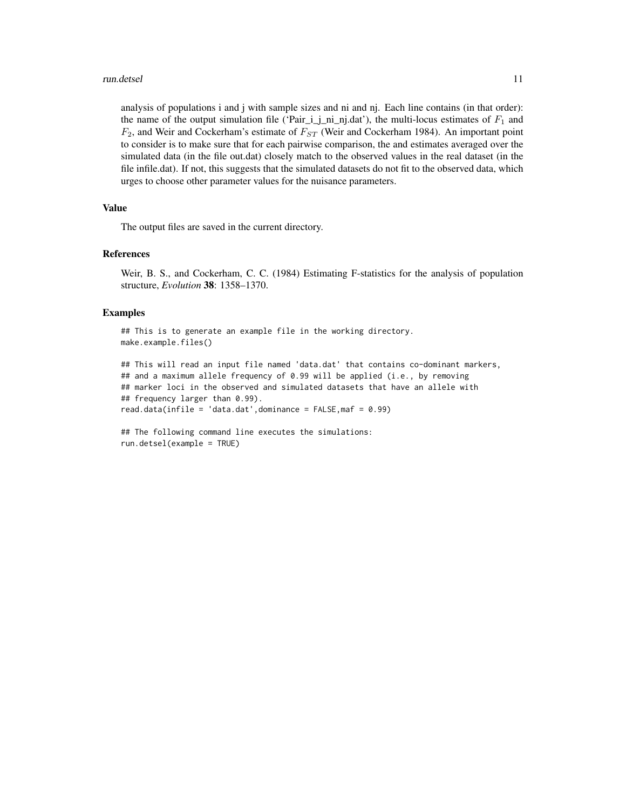#### run.detsel 11

analysis of populations i and j with sample sizes and ni and nj. Each line contains (in that order): the name of the output simulation file ('Pair\_i\_j\_ni\_nj.dat'), the multi-locus estimates of  $F_1$  and  $F_2$ , and Weir and Cockerham's estimate of  $F_{ST}$  (Weir and Cockerham 1984). An important point to consider is to make sure that for each pairwise comparison, the and estimates averaged over the simulated data (in the file out.dat) closely match to the observed values in the real dataset (in the file infile.dat). If not, this suggests that the simulated datasets do not fit to the observed data, which urges to choose other parameter values for the nuisance parameters.

#### Value

The output files are saved in the current directory.

#### References

Weir, B. S., and Cockerham, C. C. (1984) Estimating F-statistics for the analysis of population structure, *Evolution* 38: 1358–1370.

#### Examples

## This is to generate an example file in the working directory. make.example.files()

```
## This will read an input file named 'data.dat' that contains co-dominant markers,
## and a maximum allele frequency of 0.99 will be applied (i.e., by removing
## marker loci in the observed and simulated datasets that have an allele with
## frequency larger than 0.99).
read.data(infile = 'data.dat',dominance = FALSE,maf = 0.99)
```

```
## The following command line executes the simulations:
run.detsel(example = TRUE)
```